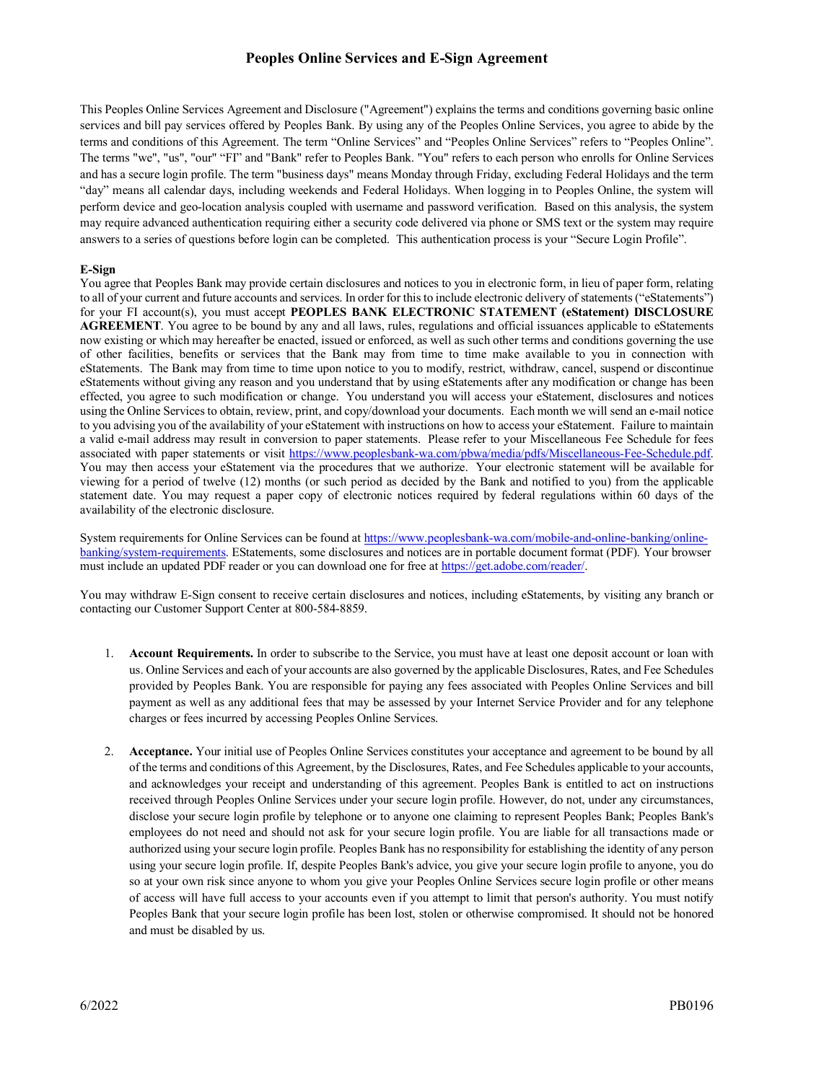# **Peoples Online Services and E-Sign Agreement**

This Peoples Online Services Agreement and Disclosure ("Agreement") explains the terms and conditions governing basic online services and bill pay services offered by Peoples Bank. By using any of the Peoples Online Services, you agree to abide by the terms and conditions of this Agreement. The term "Online Services" and "Peoples Online Services" refers to "Peoples Online". The terms "we", "us", "our" "FI" and "Bank" refer to Peoples Bank. "You" refers to each person who enrolls for Online Services and has a secure login profile. The term "business days" means Monday through Friday, excluding Federal Holidays and the term "day" means all calendar days, including weekends and Federal Holidays. When logging in to Peoples Online, the system will perform device and geo-location analysis coupled with username and password verification. Based on this analysis, the system may require advanced authentication requiring either a security code delivered via phone or SMS text or the system may require answers to a series of questions before login can be completed. This authentication process is your "Secure Login Profile".

#### **E-Sign**

You agree that Peoples Bank may provide certain disclosures and notices to you in electronic form, in lieu of paper form, relating to all of your current and future accounts and services. In order for this to include electronic delivery of statements ("eStatements") for your FI account(s), you must accept **PEOPLES BANK ELECTRONIC STATEMENT (eStatement) DISCLOSURE AGREEMENT**. You agree to be bound by any and all laws, rules, regulations and official issuances applicable to eStatements now existing or which may hereafter be enacted, issued or enforced, as well as such other terms and conditions governing the use of other facilities, benefits or services that the Bank may from time to time make available to you in connection with eStatements. The Bank may from time to time upon notice to you to modify, restrict, withdraw, cancel, suspend or discontinue eStatements without giving any reason and you understand that by using eStatements after any modification or change has been effected, you agree to such modification or change. You understand you will access your eStatement, disclosures and notices using the Online Services to obtain, review, print, and copy/download your documents. Each month we will send an e-mail notice to you advising you of the availability of your eStatement with instructions on how to access your eStatement. Failure to maintain a valid e-mail address may result in conversion to paper statements. Please refer to your Miscellaneous Fee Schedule for fees associated with paper statements or visit [https://www.peoplesbank-wa.com/pbwa/media/pdfs/Miscellaneous-Fee-Schedule.pdf.](https://www.peoplesbank-wa.com/pbwa/media/pdfs/Miscellaneous-Fee-Schedule.pdf) You may then access your eStatement via the procedures that we authorize. Your electronic statement will be available for viewing for a period of twelve (12) months (or such period as decided by the Bank and notified to you) from the applicable statement date. You may request a paper copy of electronic notices required by federal regulations within 60 days of the availability of the electronic disclosure.

System requirements for Online Services can be found a[t https://www.peoplesbank-wa.com/mobile-and-online-banking/online](https://www.peoplesbank-wa.com/mobile-and-online-banking/online-banking/system-requirements)[banking/system-requirements.](https://www.peoplesbank-wa.com/mobile-and-online-banking/online-banking/system-requirements) EStatements, some disclosures and notices are in portable document format (PDF). Your browser must include an updated PDF reader or you can download one for free at [https://get.adobe.com/reader/.](https://get.adobe.com/reader/)

You may withdraw E-Sign consent to receive certain disclosures and notices, including eStatements, by visiting any branch or contacting our Customer Support Center at 800-584-8859.

- 1. **Account Requirements.** In order to subscribe to the Service, you must have at least one deposit account or loan with us. Online Services and each of your accounts are also governed by the applicable Disclosures, Rates, and Fee Schedules provided by Peoples Bank. You are responsible for paying any fees associated with Peoples Online Services and bill payment as well as any additional fees that may be assessed by your Internet Service Provider and for any telephone charges or fees incurred by accessing Peoples Online Services.
- 2. **Acceptance.** Your initial use of Peoples Online Services constitutes your acceptance and agreement to be bound by all of the terms and conditions of this Agreement, by the Disclosures, Rates, and Fee Schedules applicable to your accounts, and acknowledges your receipt and understanding of this agreement. Peoples Bank is entitled to act on instructions received through Peoples Online Services under your secure login profile. However, do not, under any circumstances, disclose your secure login profile by telephone or to anyone one claiming to represent Peoples Bank; Peoples Bank's employees do not need and should not ask for your secure login profile. You are liable for all transactions made or authorized using your secure login profile. Peoples Bank has no responsibility for establishing the identity of any person using your secure login profile. If, despite Peoples Bank's advice, you give your secure login profile to anyone, you do so at your own risk since anyone to whom you give your Peoples Online Services secure login profile or other means of access will have full access to your accounts even if you attempt to limit that person's authority. You must notify Peoples Bank that your secure login profile has been lost, stolen or otherwise compromised. It should not be honored and must be disabled by us.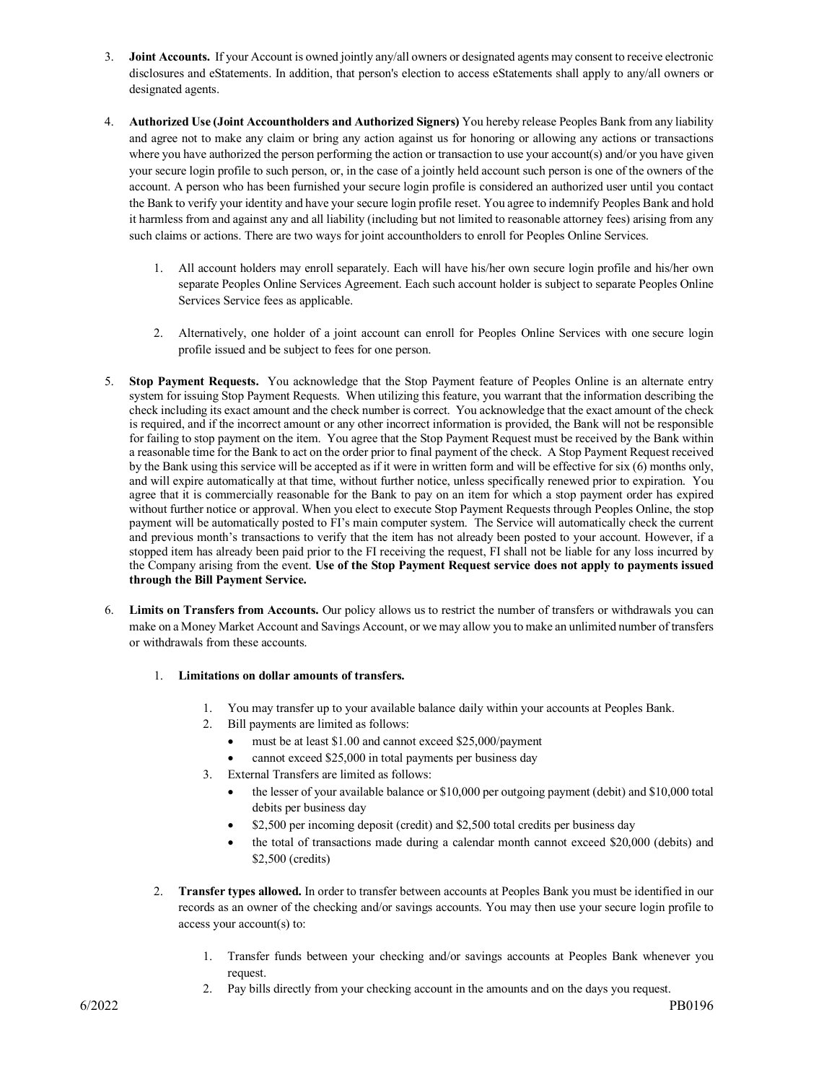- 3. **Joint Accounts.** If your Account is owned jointly any/all owners or designated agents may consent to receive electronic disclosures and eStatements. In addition, that person's election to access eStatements shall apply to any/all owners or designated agents.
- 4. **Authorized Use (Joint Accountholders and Authorized Signers)** You hereby release Peoples Bank from any liability and agree not to make any claim or bring any action against us for honoring or allowing any actions or transactions where you have authorized the person performing the action or transaction to use your account(s) and/or you have given your secure login profile to such person, or, in the case of a jointly held account such person is one of the owners of the account. A person who has been furnished your secure login profile is considered an authorized user until you contact the Bank to verify your identity and have your secure login profile reset. You agree to indemnify Peoples Bank and hold it harmless from and against any and all liability (including but not limited to reasonable attorney fees) arising from any such claims or actions. There are two ways for joint accountholders to enroll for Peoples Online Services.
	- 1. All account holders may enroll separately. Each will have his/her own secure login profile and his/her own separate Peoples Online Services Agreement. Each such account holder is subject to separate Peoples Online Services Service fees as applicable.
	- 2. Alternatively, one holder of a joint account can enroll for Peoples Online Services with one secure login profile issued and be subject to fees for one person.
- 5. **Stop Payment Requests.** You acknowledge that the Stop Payment feature of Peoples Online is an alternate entry system for issuing Stop Payment Requests. When utilizing this feature, you warrant that the information describing the check including its exact amount and the check number is correct. You acknowledge that the exact amount of the check is required, and if the incorrect amount or any other incorrect information is provided, the Bank will not be responsible for failing to stop payment on the item. You agree that the Stop Payment Request must be received by the Bank within a reasonable time for the Bank to act on the order prior to final payment of the check. A Stop Payment Request received by the Bank using this service will be accepted as if it were in written form and will be effective for six (6) months only, and will expire automatically at that time, without further notice, unless specifically renewed prior to expiration. You agree that it is commercially reasonable for the Bank to pay on an item for which a stop payment order has expired without further notice or approval. When you elect to execute Stop Payment Requests through Peoples Online, the stop payment will be automatically posted to FI's main computer system. The Service will automatically check the current and previous month's transactions to verify that the item has not already been posted to your account. However, if a stopped item has already been paid prior to the FI receiving the request, FI shall not be liable for any loss incurred by the Company arising from the event. **Use of the Stop Payment Request service does not apply to payments issued through the Bill Payment Service.**
- 6. **Limits on Transfers from Accounts.** Our policy allows us to restrict the number of transfers or withdrawals you can make on a Money Market Account and Savings Account, or we may allow you to make an unlimited number of transfers or withdrawals from these accounts.
	- 1. **Limitations on dollar amounts of transfers.**
		- 1. You may transfer up to your available balance daily within your accounts at Peoples Bank.
		- 2. Bill payments are limited as follows:
			- must be at least \$1.00 and cannot exceed \$25,000/payment
			- cannot exceed \$25,000 in total payments per business day
		- 3. External Transfers are limited as follows:
			- the lesser of your available balance or \$10,000 per outgoing payment (debit) and \$10,000 total debits per business day
			- \$2,500 per incoming deposit (credit) and \$2,500 total credits per business day
			- the total of transactions made during a calendar month cannot exceed \$20,000 (debits) and \$2,500 (credits)
	- 2. **Transfer types allowed.** In order to transfer between accounts at Peoples Bank you must be identified in our records as an owner of the checking and/or savings accounts. You may then use your secure login profile to access your account(s) to:
		- 1. Transfer funds between your checking and/or savings accounts at Peoples Bank whenever you request.
		- 2. Pay bills directly from your checking account in the amounts and on the days you request.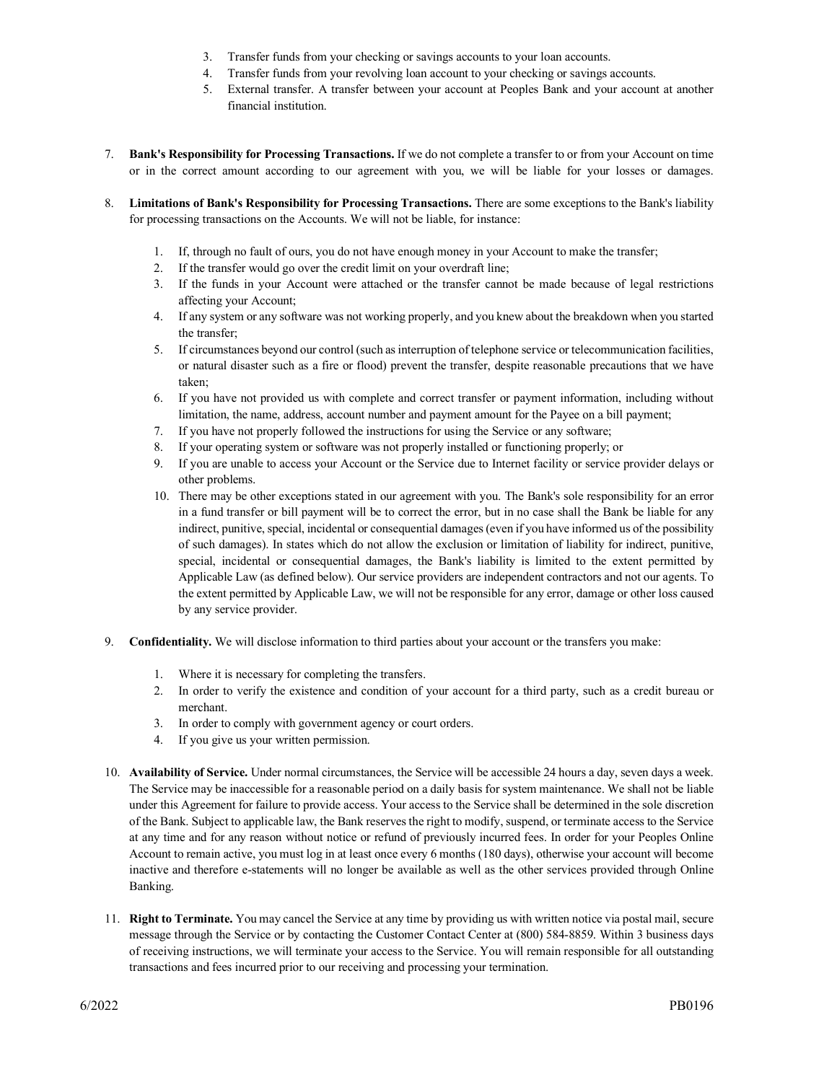- 3. Transfer funds from your checking or savings accounts to your loan accounts.
- 4. Transfer funds from your revolving loan account to your checking or savings accounts.
- 5. External transfer. A transfer between your account at Peoples Bank and your account at another financial institution.
- 7. **Bank's Responsibility for Processing Transactions.** If we do not complete a transfer to or from your Account on time or in the correct amount according to our agreement with you, we will be liable for your losses or damages.
- 8. **Limitations of Bank's Responsibility for Processing Transactions.** There are some exceptions to the Bank's liability for processing transactions on the Accounts. We will not be liable, for instance:
	- 1. If, through no fault of ours, you do not have enough money in your Account to make the transfer;
	- 2. If the transfer would go over the credit limit on your overdraft line;
	- 3. If the funds in your Account were attached or the transfer cannot be made because of legal restrictions affecting your Account;
	- 4. If any system or any software was not working properly, and you knew about the breakdown when you started the transfer;
	- 5. If circumstances beyond our control (such as interruption of telephone service or telecommunication facilities, or natural disaster such as a fire or flood) prevent the transfer, despite reasonable precautions that we have taken;
	- 6. If you have not provided us with complete and correct transfer or payment information, including without limitation, the name, address, account number and payment amount for the Payee on a bill payment;
	- 7. If you have not properly followed the instructions for using the Service or any software;
	- 8. If your operating system or software was not properly installed or functioning properly; or
	- 9. If you are unable to access your Account or the Service due to Internet facility or service provider delays or other problems.
	- 10. There may be other exceptions stated in our agreement with you. The Bank's sole responsibility for an error in a fund transfer or bill payment will be to correct the error, but in no case shall the Bank be liable for any indirect, punitive, special, incidental or consequential damages (even if you have informed us of the possibility of such damages). In states which do not allow the exclusion or limitation of liability for indirect, punitive, special, incidental or consequential damages, the Bank's liability is limited to the extent permitted by Applicable Law (as defined below). Our service providers are independent contractors and not our agents. To the extent permitted by Applicable Law, we will not be responsible for any error, damage or other loss caused by any service provider.
- 9. **Confidentiality.** We will disclose information to third parties about your account or the transfers you make:
	- 1. Where it is necessary for completing the transfers.
	- 2. In order to verify the existence and condition of your account for a third party, such as a credit bureau or merchant.
	- 3. In order to comply with government agency or court orders.
	- 4. If you give us your written permission.
- 10. **Availability of Service.** Under normal circumstances, the Service will be accessible 24 hours a day, seven days a week. The Service may be inaccessible for a reasonable period on a daily basis for system maintenance. We shall not be liable under this Agreement for failure to provide access. Your access to the Service shall be determined in the sole discretion of the Bank. Subject to applicable law, the Bank reserves the right to modify, suspend, or terminate access to the Service at any time and for any reason without notice or refund of previously incurred fees. In order for your Peoples Online Account to remain active, you must log in at least once every 6 months (180 days), otherwise your account will become inactive and therefore e-statements will no longer be available as well as the other services provided through Online Banking.
- 11. **Right to Terminate.** You may cancel the Service at any time by providing us with written notice via postal mail, secure message through the Service or by contacting the Customer Contact Center at (800) 584-8859. Within 3 business days of receiving instructions, we will terminate your access to the Service. You will remain responsible for all outstanding transactions and fees incurred prior to our receiving and processing your termination.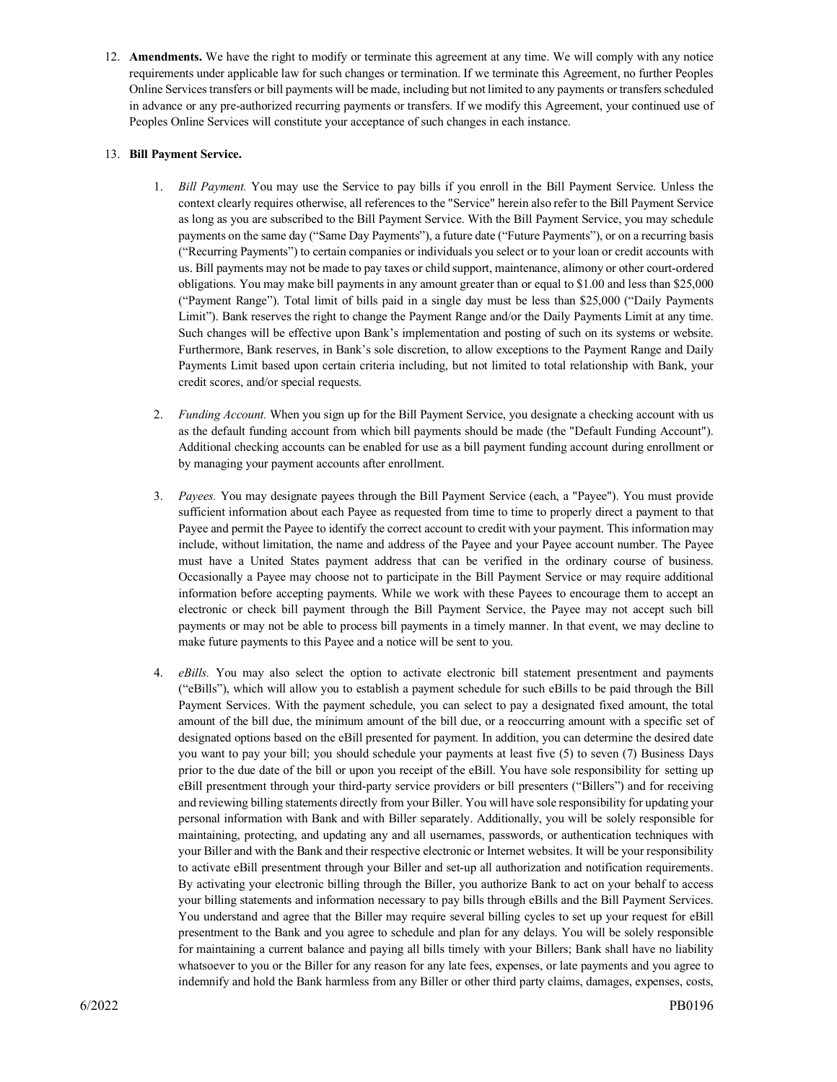12. **Amendments.** We have the right to modify or terminate this agreement at any time. We will comply with any notice requirements under applicable law for such changes or termination. If we terminate this Agreement, no further Peoples Online Services transfers or bill payments will be made, including but not limited to any payments or transfers scheduled in advance or any pre-authorized recurring payments or transfers. If we modify this Agreement, your continued use of Peoples Online Services will constitute your acceptance of such changes in each instance.

## 13. **Bill Payment Service.**

- 1. *Bill Payment.* You may use the Service to pay bills if you enroll in the Bill Payment Service. Unless the context clearly requires otherwise, all references to the "Service" herein also refer to the Bill Payment Service as long as you are subscribed to the Bill Payment Service. With the Bill Payment Service, you may schedule payments on the same day ("Same Day Payments"), a future date ("Future Payments"), or on a recurring basis ("Recurring Payments") to certain companies or individuals you select or to your loan or credit accounts with us. Bill payments may not be made to pay taxes or child support, maintenance, alimony or other court-ordered obligations. You may make bill payments in any amount greater than or equal to \$1.00 and less than \$25,000 ("Payment Range"). Total limit of bills paid in a single day must be less than \$25,000 ("Daily Payments Limit"). Bank reserves the right to change the Payment Range and/or the Daily Payments Limit at any time. Such changes will be effective upon Bank's implementation and posting of such on its systems or website. Furthermore, Bank reserves, in Bank's sole discretion, to allow exceptions to the Payment Range and Daily Payments Limit based upon certain criteria including, but not limited to total relationship with Bank, your credit scores, and/or special requests.
- 2. *Funding Account.* When you sign up for the Bill Payment Service, you designate a checking account with us as the default funding account from which bill payments should be made (the "Default Funding Account"). Additional checking accounts can be enabled for use as a bill payment funding account during enrollment or by managing your payment accounts after enrollment.
- 3. *Payees.* You may designate payees through the Bill Payment Service (each, a "Payee"). You must provide sufficient information about each Payee as requested from time to time to properly direct a payment to that Payee and permit the Payee to identify the correct account to credit with your payment. This information may include, without limitation, the name and address of the Payee and your Payee account number. The Payee must have a United States payment address that can be verified in the ordinary course of business. Occasionally a Payee may choose not to participate in the Bill Payment Service or may require additional information before accepting payments. While we work with these Payees to encourage them to accept an electronic or check bill payment through the Bill Payment Service, the Payee may not accept such bill payments or may not be able to process bill payments in a timely manner. In that event, we may decline to make future payments to this Payee and a notice will be sent to you.
- 4. *eBills.* You may also select the option to activate electronic bill statement presentment and payments ("eBills"), which will allow you to establish a payment schedule for such eBills to be paid through the Bill Payment Services. With the payment schedule, you can select to pay a designated fixed amount, the total amount of the bill due, the minimum amount of the bill due, or a reoccurring amount with a specific set of designated options based on the eBill presented for payment. In addition, you can determine the desired date you want to pay your bill; you should schedule your payments at least five (5) to seven (7) Business Days prior to the due date of the bill or upon you receipt of the eBill. You have sole responsibility for setting up eBill presentment through your third-party service providers or bill presenters ("Billers") and for receiving and reviewing billing statements directly from your Biller. You will have sole responsibility for updating your personal information with Bank and with Biller separately. Additionally, you will be solely responsible for maintaining, protecting, and updating any and all usernames, passwords, or authentication techniques with your Biller and with the Bank and their respective electronic or Internet websites. It will be your responsibility to activate eBill presentment through your Biller and set-up all authorization and notification requirements. By activating your electronic billing through the Biller, you authorize Bank to act on your behalf to access your billing statements and information necessary to pay bills through eBills and the Bill Payment Services. You understand and agree that the Biller may require several billing cycles to set up your request for eBill presentment to the Bank and you agree to schedule and plan for any delays. You will be solely responsible for maintaining a current balance and paying all bills timely with your Billers; Bank shall have no liability whatsoever to you or the Biller for any reason for any late fees, expenses, or late payments and you agree to indemnify and hold the Bank harmless from any Biller or other third party claims, damages, expenses, costs,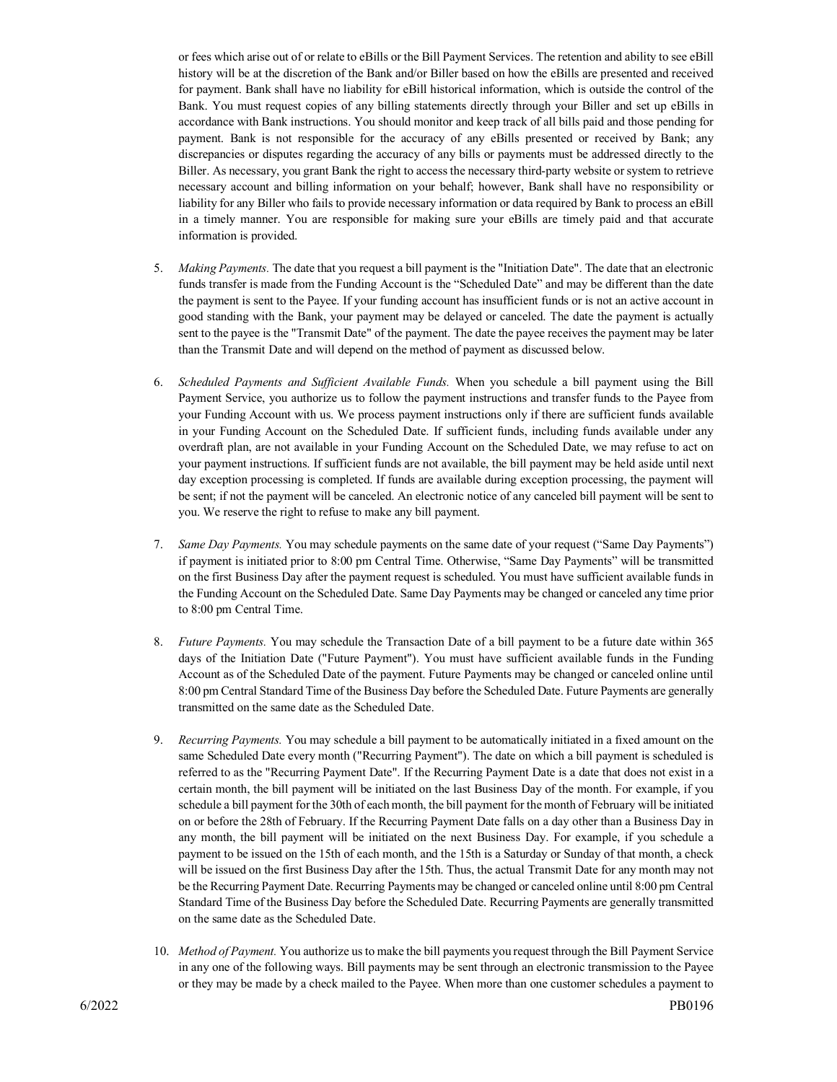or fees which arise out of or relate to eBills or the Bill Payment Services. The retention and ability to see eBill history will be at the discretion of the Bank and/or Biller based on how the eBills are presented and received for payment. Bank shall have no liability for eBill historical information, which is outside the control of the Bank. You must request copies of any billing statements directly through your Biller and set up eBills in accordance with Bank instructions. You should monitor and keep track of all bills paid and those pending for payment. Bank is not responsible for the accuracy of any eBills presented or received by Bank; any discrepancies or disputes regarding the accuracy of any bills or payments must be addressed directly to the Biller. As necessary, you grant Bank the right to access the necessary third-party website or system to retrieve necessary account and billing information on your behalf; however, Bank shall have no responsibility or liability for any Biller who fails to provide necessary information or data required by Bank to process an eBill in a timely manner. You are responsible for making sure your eBills are timely paid and that accurate information is provided.

- 5. *Making Payments.* The date that you request a bill payment is the "Initiation Date". The date that an electronic funds transfer is made from the Funding Account is the "Scheduled Date" and may be different than the date the payment is sent to the Payee. If your funding account has insufficient funds or is not an active account in good standing with the Bank, your payment may be delayed or canceled. The date the payment is actually sent to the payee is the "Transmit Date" of the payment. The date the payee receives the payment may be later than the Transmit Date and will depend on the method of payment as discussed below.
- 6. *Scheduled Payments and Sufficient Available Funds.* When you schedule a bill payment using the Bill Payment Service, you authorize us to follow the payment instructions and transfer funds to the Payee from your Funding Account with us. We process payment instructions only if there are sufficient funds available in your Funding Account on the Scheduled Date. If sufficient funds, including funds available under any overdraft plan, are not available in your Funding Account on the Scheduled Date, we may refuse to act on your payment instructions. If sufficient funds are not available, the bill payment may be held aside until next day exception processing is completed. If funds are available during exception processing, the payment will be sent; if not the payment will be canceled. An electronic notice of any canceled bill payment will be sent to you. We reserve the right to refuse to make any bill payment.
- 7. *Same Day Payments.* You may schedule payments on the same date of your request ("Same Day Payments") if payment is initiated prior to 8:00 pm Central Time. Otherwise, "Same Day Payments" will be transmitted on the first Business Day after the payment request is scheduled. You must have sufficient available funds in the Funding Account on the Scheduled Date. Same Day Payments may be changed or canceled any time prior to 8:00 pm Central Time.
- 8. *Future Payments.* You may schedule the Transaction Date of a bill payment to be a future date within 365 days of the Initiation Date ("Future Payment"). You must have sufficient available funds in the Funding Account as of the Scheduled Date of the payment. Future Payments may be changed or canceled online until 8:00 pm Central Standard Time of the Business Day before the Scheduled Date. Future Payments are generally transmitted on the same date as the Scheduled Date.
- 9. *Recurring Payments.* You may schedule a bill payment to be automatically initiated in a fixed amount on the same Scheduled Date every month ("Recurring Payment"). The date on which a bill payment is scheduled is referred to as the "Recurring Payment Date". If the Recurring Payment Date is a date that does not exist in a certain month, the bill payment will be initiated on the last Business Day of the month. For example, if you schedule a bill payment for the 30th of each month, the bill payment for the month of February will be initiated on or before the 28th of February. If the Recurring Payment Date falls on a day other than a Business Day in any month, the bill payment will be initiated on the next Business Day. For example, if you schedule a payment to be issued on the 15th of each month, and the 15th is a Saturday or Sunday of that month, a check will be issued on the first Business Day after the 15th. Thus, the actual Transmit Date for any month may not be the Recurring Payment Date. Recurring Payments may be changed or canceled online until 8:00 pm Central Standard Time of the Business Day before the Scheduled Date. Recurring Payments are generally transmitted on the same date as the Scheduled Date.
- 10. *Method of Payment.* You authorize us to make the bill payments you request through the Bill Payment Service in any one of the following ways. Bill payments may be sent through an electronic transmission to the Payee or they may be made by a check mailed to the Payee. When more than one customer schedules a payment to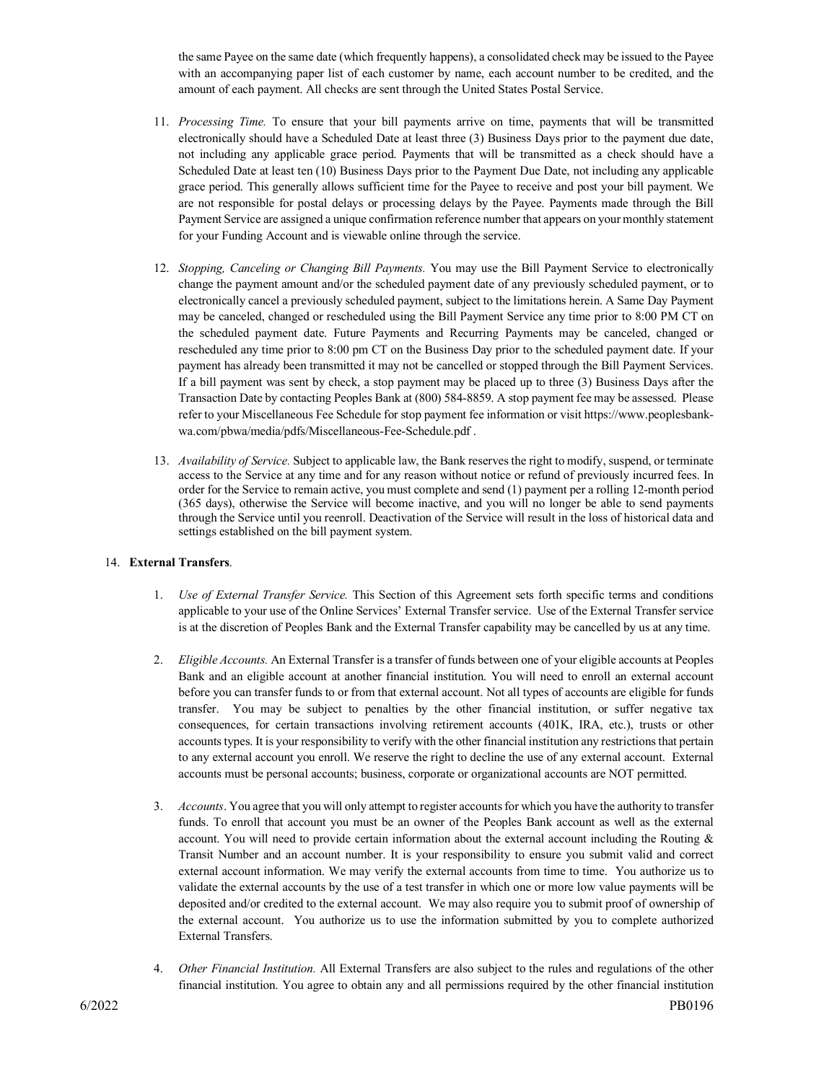the same Payee on the same date (which frequently happens), a consolidated check may be issued to the Payee with an accompanying paper list of each customer by name, each account number to be credited, and the amount of each payment. All checks are sent through the United States Postal Service.

- 11. *Processing Time.* To ensure that your bill payments arrive on time, payments that will be transmitted electronically should have a Scheduled Date at least three (3) Business Days prior to the payment due date, not including any applicable grace period. Payments that will be transmitted as a check should have a Scheduled Date at least ten (10) Business Days prior to the Payment Due Date, not including any applicable grace period. This generally allows sufficient time for the Payee to receive and post your bill payment. We are not responsible for postal delays or processing delays by the Payee. Payments made through the Bill Payment Service are assigned a unique confirmation reference number that appears on your monthly statement for your Funding Account and is viewable online through the service.
- 12. *Stopping, Canceling or Changing Bill Payments.* You may use the Bill Payment Service to electronically change the payment amount and/or the scheduled payment date of any previously scheduled payment, or to electronically cancel a previously scheduled payment, subject to the limitations herein. A Same Day Payment may be canceled, changed or rescheduled using the Bill Payment Service any time prior to 8:00 PM CT on the scheduled payment date. Future Payments and Recurring Payments may be canceled, changed or rescheduled any time prior to 8:00 pm CT on the Business Day prior to the scheduled payment date. If your payment has already been transmitted it may not be cancelled or stopped through the Bill Payment Services. If a bill payment was sent by check, a stop payment may be placed up to three (3) Business Days after the Transaction Date by contacting Peoples Bank at (800) 584-8859. A stop payment fee may be assessed. Please refer to your Miscellaneous Fee Schedule for stop payment fee information or visit https://www.peoplesbankwa.com/pbwa/media/pdfs/Miscellaneous-Fee-Schedule.pdf .
- 13. *Availability of Service.* Subject to applicable law, the Bank reserves the right to modify, suspend, or terminate access to the Service at any time and for any reason without notice or refund of previously incurred fees. In order for the Service to remain active, you must complete and send (1) payment per a rolling 12-month period (365 days), otherwise the Service will become inactive, and you will no longer be able to send payments through the Service until you reenroll. Deactivation of the Service will result in the loss of historical data and settings established on the bill payment system.

## 14. **External Transfers**.

- 1. *Use of External Transfer Service.* This Section of this Agreement sets forth specific terms and conditions applicable to your use of the Online Services' External Transfer service. Use of the External Transfer service is at the discretion of Peoples Bank and the External Transfer capability may be cancelled by us at any time.
- 2. *Eligible Accounts.* An External Transfer is a transfer of funds between one of your eligible accounts at Peoples Bank and an eligible account at another financial institution. You will need to enroll an external account before you can transfer funds to or from that external account. Not all types of accounts are eligible for funds transfer. You may be subject to penalties by the other financial institution, or suffer negative tax consequences, for certain transactions involving retirement accounts (401K, IRA, etc.), trusts or other accounts types. It is your responsibility to verify with the other financial institution any restrictions that pertain to any external account you enroll. We reserve the right to decline the use of any external account. External accounts must be personal accounts; business, corporate or organizational accounts are NOT permitted.
- 3. *Accounts*. You agree that you will only attempt to register accounts for which you have the authority to transfer funds. To enroll that account you must be an owner of the Peoples Bank account as well as the external account. You will need to provide certain information about the external account including the Routing & Transit Number and an account number. It is your responsibility to ensure you submit valid and correct external account information. We may verify the external accounts from time to time. You authorize us to validate the external accounts by the use of a test transfer in which one or more low value payments will be deposited and/or credited to the external account. We may also require you to submit proof of ownership of the external account. You authorize us to use the information submitted by you to complete authorized External Transfers.
- 4. *Other Financial Institution.* All External Transfers are also subject to the rules and regulations of the other financial institution. You agree to obtain any and all permissions required by the other financial institution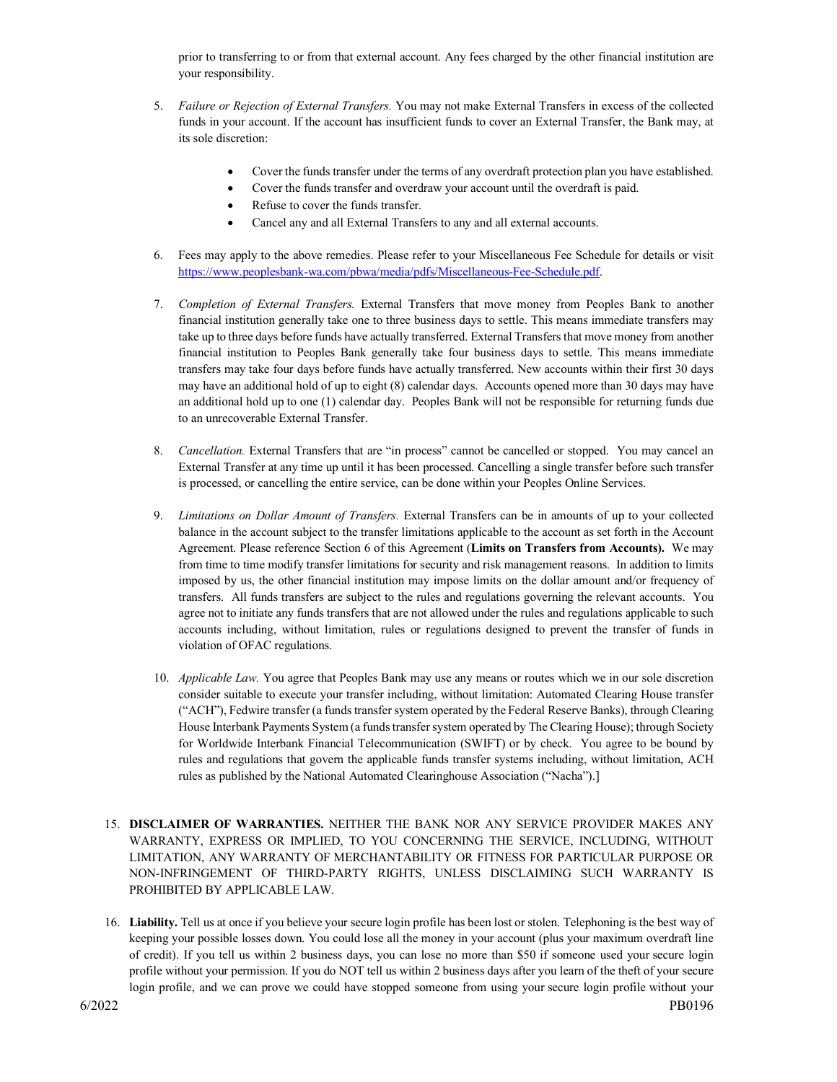prior to transferring to or from that external account. Any fees charged by the other financial institution are your responsibility.

- 5. *Failure or Rejection of External Transfers.* You may not make External Transfers in excess of the collected funds in your account. If the account has insufficient funds to cover an External Transfer, the Bank may, at its sole discretion:
	- Cover the funds transfer under the terms of any overdraft protection plan you have established.
	- Cover the funds transfer and overdraw your account until the overdraft is paid.
	- Refuse to cover the funds transfer.
	- Cancel any and all External Transfers to any and all external accounts.
- 6. Fees may apply to the above remedies. Please refer to your Miscellaneous Fee Schedule for details or visit [https://www.peoplesbank-wa.com/pbwa/media/pdfs/Miscellaneous-Fee-Schedule.pdf.](https://www.peoplesbank-wa.com/pbwa/media/pdfs/Miscellaneous-Fee-Schedule.pdf)
- 7. *Completion of External Transfers.* External Transfers that move money from Peoples Bank to another financial institution generally take one to three business days to settle. This means immediate transfers may take up to three days before funds have actually transferred. External Transfers that move money from another financial institution to Peoples Bank generally take four business days to settle. This means immediate transfers may take four days before funds have actually transferred. New accounts within their first 30 days may have an additional hold of up to eight (8) calendar days. Accounts opened more than 30 days may have an additional hold up to one (1) calendar day. Peoples Bank will not be responsible for returning funds due to an unrecoverable External Transfer.
- 8. *Cancellation.* External Transfers that are "in process" cannot be cancelled or stopped. You may cancel an External Transfer at any time up until it has been processed. Cancelling a single transfer before such transfer is processed, or cancelling the entire service, can be done within your Peoples Online Services.
- 9. *Limitations on Dollar Amount of Transfers.* External Transfers can be in amounts of up to your collected balance in the account subject to the transfer limitations applicable to the account as set forth in the Account Agreement. Please reference Section 6 of this Agreement (**Limits on Transfers from Accounts).** We may from time to time modify transfer limitations for security and risk management reasons. In addition to limits imposed by us, the other financial institution may impose limits on the dollar amount and/or frequency of transfers. All funds transfers are subject to the rules and regulations governing the relevant accounts. You agree not to initiate any funds transfers that are not allowed under the rules and regulations applicable to such accounts including, without limitation, rules or regulations designed to prevent the transfer of funds in violation of OFAC regulations.
- 10. *Applicable Law.* You agree that Peoples Bank may use any means or routes which we in our sole discretion consider suitable to execute your transfer including, without limitation: Automated Clearing House transfer ("ACH"), Fedwire transfer (a funds transfer system operated by the Federal Reserve Banks), through Clearing House Interbank Payments System (a funds transfer system operated by The Clearing House); through Society for Worldwide Interbank Financial Telecommunication (SWIFT) or by check. You agree to be bound by rules and regulations that govern the applicable funds transfer systems including, without limitation, ACH rules as published by the National Automated Clearinghouse Association ("Nacha").]
- 15. **DISCLAIMER OF WARRANTIES.** NEITHER THE BANK NOR ANY SERVICE PROVIDER MAKES ANY WARRANTY, EXPRESS OR IMPLIED, TO YOU CONCERNING THE SERVICE, INCLUDING, WITHOUT LIMITATION, ANY WARRANTY OF MERCHANTABILITY OR FITNESS FOR PARTICULAR PURPOSE OR NON-INFRINGEMENT OF THIRD-PARTY RIGHTS, UNLESS DISCLAIMING SUCH WARRANTY IS PROHIBITED BY APPLICABLE LAW.
- 16. **Liability.** Tell us at once if you believe your secure login profile has been lost or stolen. Telephoning is the best way of keeping your possible losses down. You could lose all the money in your account (plus your maximum overdraft line of credit). If you tell us within 2 business days, you can lose no more than \$50 if someone used your secure login profile without your permission. If you do NOT tell us within 2 business days after you learn of the theft of your secure login profile, and we can prove we could have stopped someone from using your secure login profile without your